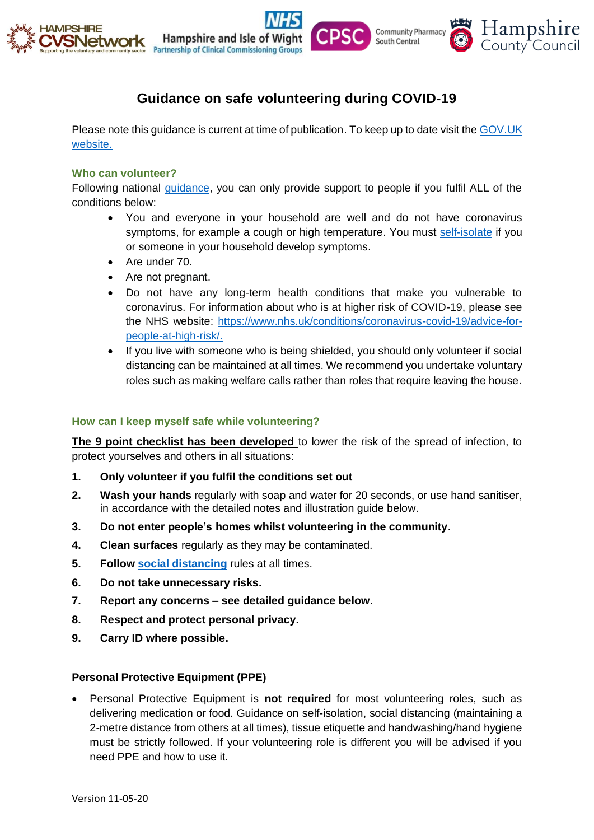

# **Guidance on safe volunteering during COVID-19**

Please note this guidance is current at time of publication. To keep up to date visit th[e GOV.UK](https://www.gov.uk/government/publications/coronavirus-how-to-help-safely--2/coronavirus-how-to-help-safely) [website.](https://www.gov.uk/government/publications/coronavirus-how-to-help-safely--2/coronavirus-how-to-help-safely)

#### **Who can volunteer?**

Following national [guidance,](https://www.gov.uk/government/publications/coronavirus-how-to-help-safely--2/coronavirus-how-to-help-safely) you can only provide support to people if you fulfil ALL of the conditions below:

- You and everyone in your household are well and do not have coronavirus symptoms, for example a cough or high temperature. You must [self-isolate](https://www.nhs.uk/conditions/coronavirus-covid-19/what-to-do-if-you-or-someone-you-live-with-has-coronavirus-symptoms/staying-at-home-if-you-or-someone-you-live-with-has-coronavirus-symptoms/) if you or someone in your household develop symptoms.
- Are under 70.
- Are not pregnant.
- Do not have any long-term health conditions that make you vulnerable to coronavirus. For information about who is at higher risk of COVID-19, please see the NHS website: [https://www.nhs.uk/conditions/coronavirus-covid-19/advice-for](https://www.nhs.uk/conditions/coronavirus-covid-19/advice-for-people-at-high-risk/)[people-at-high-risk/.](https://www.nhs.uk/conditions/coronavirus-covid-19/advice-for-people-at-high-risk/)
- If you live with someone who is being shielded, you should only volunteer if social distancing can be maintained at all times. We recommend you undertake voluntary roles such as making welfare calls rather than roles that require leaving the house.

#### **How can I keep myself safe while volunteering?**

**The 9 point checklist has been developed** to lower the risk of the spread of infection, to protect yourselves and others in all situations:

- **1. Only volunteer if you fulfil the conditions set out**
- **2. Wash your hands** regularly with soap and water for 20 seconds, or use hand sanitiser, in accordance with the detailed notes and illustration guide below.
- **3. Do not enter people's homes whilst volunteering in the community**.
- **4. Clean surfaces** regularly as they may be contaminated.
- **5. Follow [social distancing](https://www.gov.uk/government/publications/covid-19-guidance-on-social-distancing-and-for-vulnerable-people/guidance-on-social-distancing-for-everyone-in-the-uk-and-protecting-older-people-and-vulnerable-adults)** rules at all times.
- **6. Do not take unnecessary risks.**
- **7. Report any concerns – see detailed guidance below.**
- **8. Respect and protect personal privacy.**
- **9. Carry ID where possible.**

#### **Personal Protective Equipment (PPE)**

• Personal Protective Equipment is **not required** for most volunteering roles, such as delivering medication or food. Guidance on self-isolation, social distancing (maintaining a 2-metre distance from others at all times), tissue etiquette and handwashing/hand hygiene must be strictly followed. If your volunteering role is different you will be advised if you need PPE and how to use it.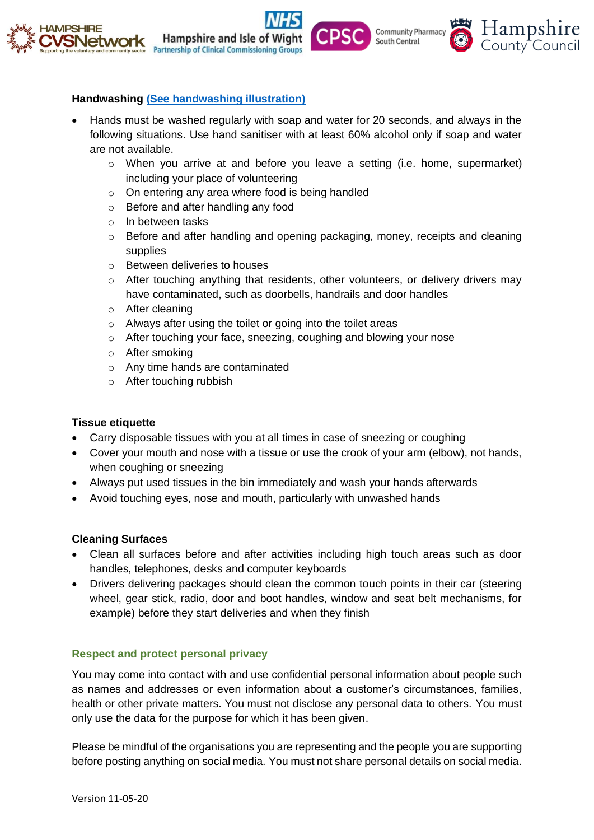



Hampshire and Isle of Wi

- Hands must be washed regularly with soap and water for 20 seconds, and always in the following situations. Use hand sanitiser with at least 60% alcohol only if soap and water are not available.
	- $\circ$  When you arrive at and before you leave a setting (i.e. home, supermarket) including your place of volunteering

Hampshire

County Council

**Community Pharmacy** 

South Central

- o On entering any area where food is being handled
- o Before and after handling any food
- o In between tasks
- o Before and after handling and opening packaging, money, receipts and cleaning supplies
- o Between deliveries to houses
- $\circ$  After touching anything that residents, other volunteers, or delivery drivers may have contaminated, such as doorbells, handrails and door handles
- o After cleaning
- o Always after using the toilet or going into the toilet areas
- $\circ$  After touching your face, sneezing, coughing and blowing your nose
- o After smoking
- o Any time hands are contaminated
- o After touching rubbish

# **Tissue etiquette**

- Carry disposable tissues with you at all times in case of sneezing or coughing
- Cover your mouth and nose with a tissue or use the crook of your arm (elbow), not hands, when coughing or sneezing
- Always put used tissues in the bin immediately and wash your hands afterwards
- Avoid touching eyes, nose and mouth, particularly with unwashed hands

# **Cleaning Surfaces**

- Clean all surfaces before and after activities including high touch areas such as door handles, telephones, desks and computer keyboards
- Drivers delivering packages should clean the common touch points in their car (steering wheel, gear stick, radio, door and boot handles, window and seat belt mechanisms, for example) before they start deliveries and when they finish

# **Respect and protect personal privacy**

You may come into contact with and use confidential personal information about people such as names and addresses or even information about a customer's circumstances, families, health or other private matters. You must not disclose any personal data to others. You must only use the data for the purpose for which it has been given.

Please be mindful of the organisations you are representing and the people you are supporting before posting anything on social media. You must not share personal details on social media.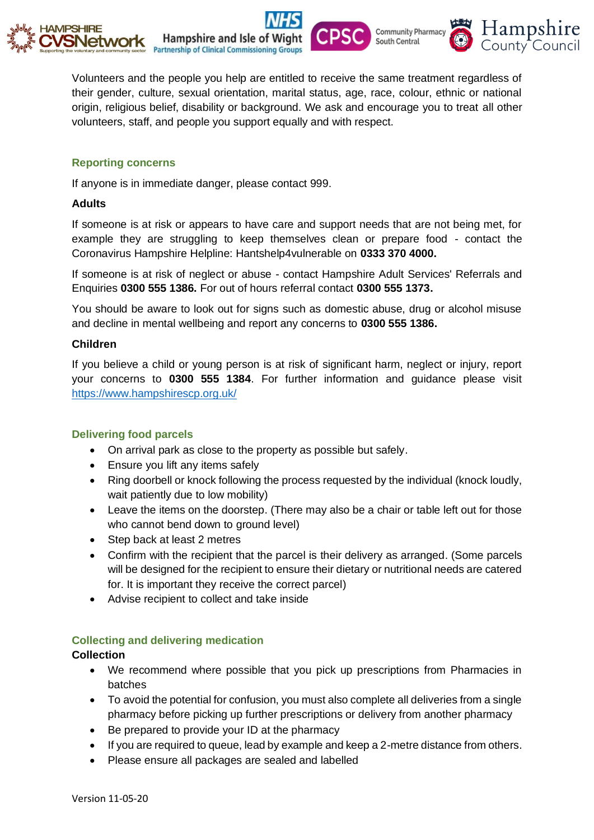

Volunteers and the people you help are entitled to receive the same treatment regardless of their gender, culture, sexual orientation, marital status, age, race, colour, ethnic or national origin, religious belief, disability or background. We ask and encourage you to treat all other volunteers, staff, and people you support equally and with respect.

Hampshire

County Council

**Community Pharmacy** 

South Central

# **Reporting concerns**

If anyone is in immediate danger, please contact 999.

Hampshire and Isle of Wi

#### **Adults**

If someone is at risk or appears to have care and support needs that are not being met, for example they are struggling to keep themselves clean or prepare food - contact the Coronavirus Hampshire Helpline: Hantshelp4vulnerable on **0333 370 4000.**

If someone is at risk of neglect or abuse - contact Hampshire Adult Services' Referrals and Enquiries **0300 555 1386.** For out of hours referral contact **0300 555 1373.**

You should be aware to look out for signs such as domestic abuse, drug or alcohol misuse and decline in mental wellbeing and report any concerns to **0300 555 1386.**

# **Children**

If you believe a child or young person is at risk of significant harm, neglect or injury, report your concerns to **0300 555 1384**. For further information and guidance please visit <https://www.hampshirescp.org.uk/>

# **Delivering food parcels**

- On arrival park as close to the property as possible but safely.
- Ensure you lift any items safely
- Ring doorbell or knock following the process requested by the individual (knock loudly, wait patiently due to low mobility)
- Leave the items on the doorstep. (There may also be a chair or table left out for those who cannot bend down to ground level)
- Step back at least 2 metres
- Confirm with the recipient that the parcel is their delivery as arranged. (Some parcels will be designed for the recipient to ensure their dietary or nutritional needs are catered for. It is important they receive the correct parcel)
- Advise recipient to collect and take inside

# **Collecting and delivering medication**

# **Collection**

- We recommend where possible that you pick up prescriptions from Pharmacies in batches
- To avoid the potential for confusion, you must also complete all deliveries from a single pharmacy before picking up further prescriptions or delivery from another pharmacy
- Be prepared to provide your ID at the pharmacy
- If you are required to queue, lead by example and keep a 2-metre distance from others.
- Please ensure all packages are sealed and labelled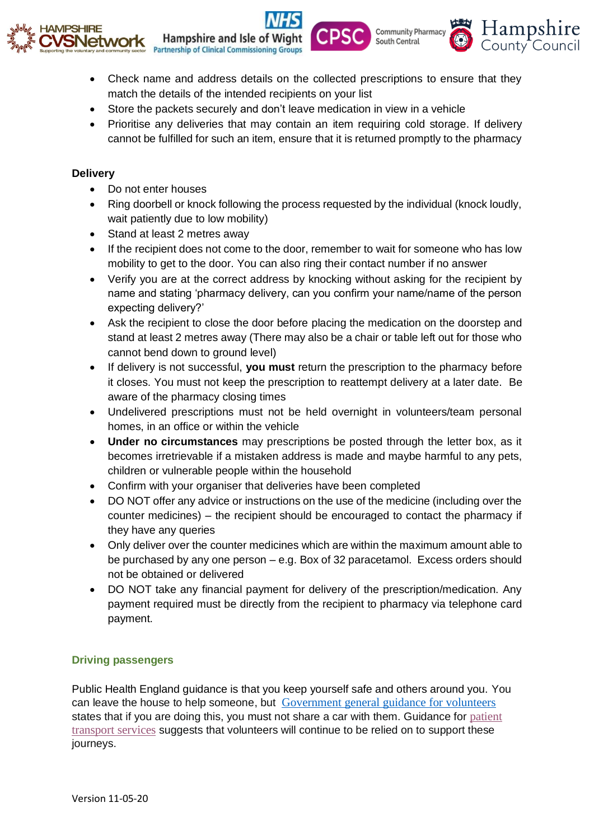



**Community Pharmacy** 

South Central

Hampshire

County Council

• Store the packets securely and don't leave medication in view in a vehicle

**Hampshire and Isle of Wic** 

**Partnership of Clinical Commissioning Groups** 

• Prioritise any deliveries that may contain an item requiring cold storage. If delivery cannot be fulfilled for such an item, ensure that it is returned promptly to the pharmacy

#### **Delivery**

- Do not enter houses
- Ring doorbell or knock following the process requested by the individual (knock loudly, wait patiently due to low mobility)
- Stand at least 2 metres away
- If the recipient does not come to the door, remember to wait for someone who has low mobility to get to the door. You can also ring their contact number if no answer
- Verify you are at the correct address by knocking without asking for the recipient by name and stating 'pharmacy delivery, can you confirm your name/name of the person expecting delivery?'
- Ask the recipient to close the door before placing the medication on the doorstep and stand at least 2 metres away (There may also be a chair or table left out for those who cannot bend down to ground level)
- If delivery is not successful, **you must** return the prescription to the pharmacy before it closes. You must not keep the prescription to reattempt delivery at a later date. Be aware of the pharmacy closing times
- Undelivered prescriptions must not be held overnight in volunteers/team personal homes, in an office or within the vehicle
- **Under no circumstances** may prescriptions be posted through the letter box, as it becomes irretrievable if a mistaken address is made and maybe harmful to any pets, children or vulnerable people within the household
- Confirm with your organiser that deliveries have been completed
- DO NOT offer any advice or instructions on the use of the medicine (including over the counter medicines) – the recipient should be encouraged to contact the pharmacy if they have any queries
- Only deliver over the counter medicines which are within the maximum amount able to be purchased by any one person – e.g. Box of 32 paracetamol. Excess orders should not be obtained or delivered
- DO NOT take any financial payment for delivery of the prescription/medication. Any payment required must be directly from the recipient to pharmacy via telephone card payment.

# **Driving passengers**

Public Health England guidance is that you keep yourself safe and others around you. You can leave the house to help someone, but [Government general guidance for volunteers](https://www.gov.uk/government/publications/coronavirus-how-to-help-safely--2/coronavirus-how-to-help-safely) states that if you are doing this, you must not share a car with them. Guidance for [patient](https://www.england.nhs.uk/coronavirus/wp-content/uploads/sites/52/2020/03/C0035-patient-transport-services-27-March-2020.pdf)  [transport services](https://www.england.nhs.uk/coronavirus/wp-content/uploads/sites/52/2020/03/C0035-patient-transport-services-27-March-2020.pdf) suggests that volunteers will continue to be relied on to support these journeys.